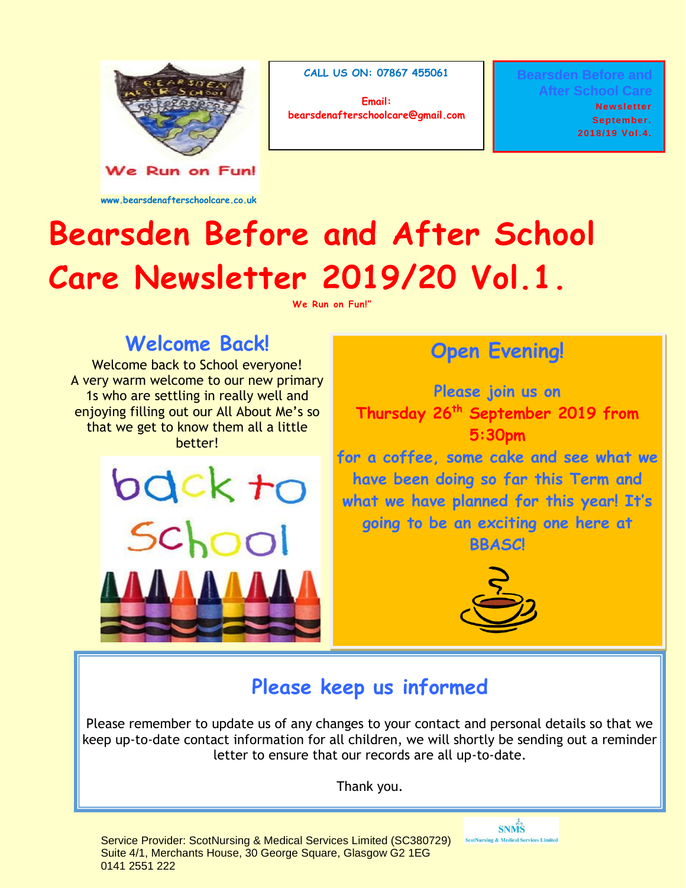

We Run on Fun!

**www.bearsdenafterschoolcare.co.uk**

**CALL US ON: 07867 455061**

**Email: bearsdenafterschoolcare@gmail.com** **Bearsden Before and After School Care** 

> **Newsletter September. 2018/19 Vol.4.**

# **Bearsden Before and After School Care Newsletter 2019/20 Vol.1.**

**We Run on Fun!"** 

### **Welcome Back!**

Welcome back to School everyone! A very warm welcome to our new primary 1s who are settling in really well and enjoying filling out our All About Me's so that we get to know them all a little better!

> bdck to School

## **Open Evening!**

**Please join us on Thursday 26th September 2019 from 5:30pm for a coffee, some cake and see what we have been doing so far this Term and what we have planned for this year! It's** 

**going to be an exciting one here at** 

**BBASC!**



**SNMS ScotNursing & Medical Services Limited** 

### **Please keep us informed**

Please remember to update us of any changes to your contact and personal details so that we keep up-to-date contact information for all children, we will shortly be sending out a reminder letter to ensure that our records are all up-to-date.

Thank you.

Service Provider: ScotNursing & Medical Services Limited (SC380729) Suite 4/1, Merchants House, 30 George Square, Glasgow G2 1EG 0141 2551 222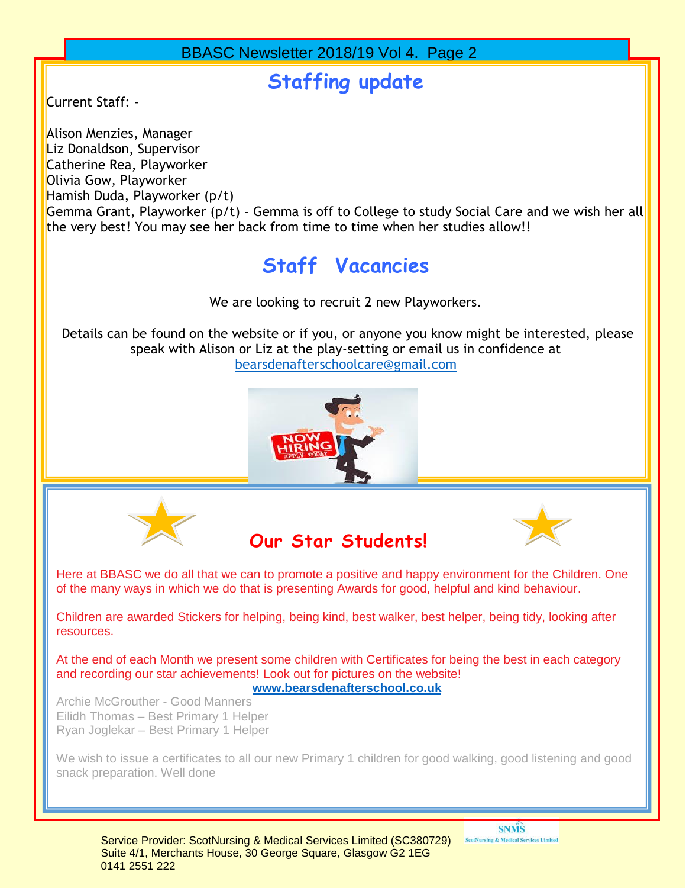#### **Staffing update**

Current Staff: -

Alison Menzies, Manager Liz Donaldson, Supervisor Catherine Rea, Playworker Olivia Gow, Playworker Hamish Duda, Playworker (p/t)

Gemma Grant, Playworker (p/t) – Gemma is off to College to study Social Care and we wish her all the very best! You may see her back from time to time when her studies allow!!

## **Staff Vacancies**

We are looking to recruit 2 new Playworkers.

Details can be found on the website or if you, or anyone you know might be interested, please speak with Alison or Liz at the play-setting or email us in confidence at [bearsdenafterschoolcare@gmail.com](mailto:bearsdenafterschoolcare@gmail.com)









of the many ways in which we do that is presenting Awards for good, helpful and kind behaviour. Here at BBASC we do all that we can to promote a positive and happy environment for the Children. One

Children are awarded Stickers for helping, being kind, best walker, best helper, being tidy, looking after resources.

At the end of each Month we present some children with Certificates for being the best in each category and recording our star achievements! Look out for pictures on the website!<br>hearedpreftsrashed as uk **[www.bearsdenafterschool.co.uk](http://www.bearsdenafterschool.co.uk/)**

Archie McGrouther - Good Manners Eilidh Thomas – Best Primary 1 Helper Ryan Joglekar – Best Primary 1 Helper

We wish to issue a certificates to all our new Primary 1 children for good walking, good listening and good snack preparation. Well done

**SNMS ScotNursing & Medical Services Limited**